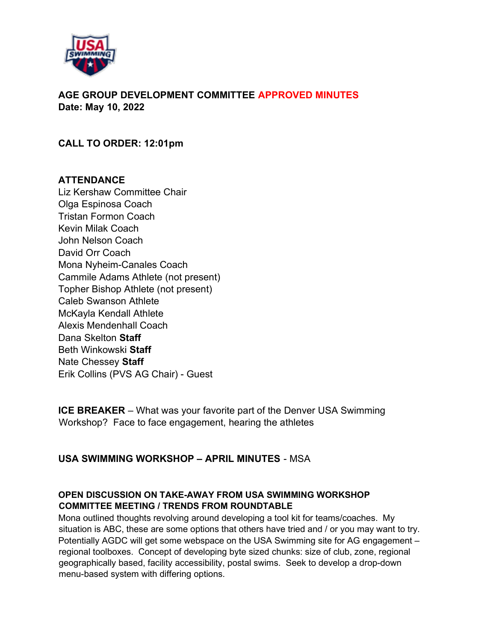

AGE GROUP DEVELOPMENT COMMITTEE APPROVED MINUTES Date: May 10, 2022

CALL TO ORDER: 12:01pm

### **ATTENDANCE**

Liz Kershaw Committee Chair Olga Espinosa Coach Tristan Formon Coach Kevin Milak Coach John Nelson Coach David Orr Coach Mona Nyheim-Canales Coach Cammile Adams Athlete (not present) Topher Bishop Athlete (not present) Caleb Swanson Athlete McKayla Kendall Athlete Alexis Mendenhall Coach Dana Skelton Staff Beth Winkowski Staff Nate Chessey Staff Erik Collins (PVS AG Chair) - Guest

ICE BREAKER – What was your favorite part of the Denver USA Swimming Workshop? Face to face engagement, hearing the athletes

### USA SWIMMING WORKSHOP – APRIL MINUTES - MSA

# OPEN DISCUSSION ON TAKE-AWAY FROM USA SWIMMING WORKSHOP COMMITTEE MEETING / TRENDS FROM ROUNDTABLE

Mona outlined thoughts revolving around developing a tool kit for teams/coaches. My situation is ABC, these are some options that others have tried and / or you may want to try. Potentially AGDC will get some webspace on the USA Swimming site for AG engagement – regional toolboxes. Concept of developing byte sized chunks: size of club, zone, regional geographically based, facility accessibility, postal swims. Seek to develop a drop-down menu-based system with differing options.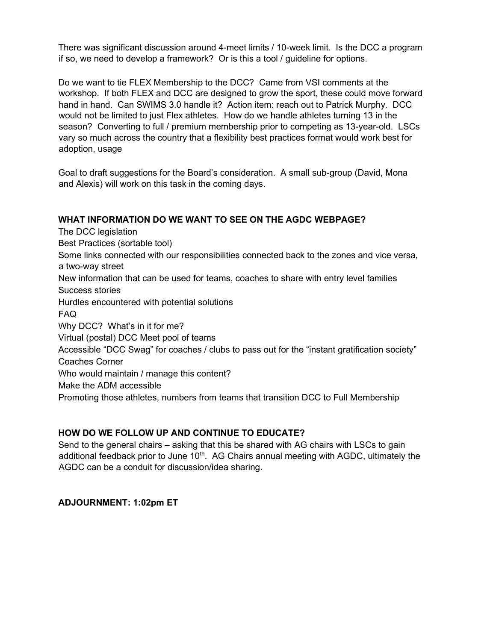There was significant discussion around 4-meet limits / 10-week limit. Is the DCC a program if so, we need to develop a framework? Or is this a tool / guideline for options.

Do we want to tie FLEX Membership to the DCC? Came from VSI comments at the workshop. If both FLEX and DCC are designed to grow the sport, these could move forward hand in hand. Can SWIMS 3.0 handle it? Action item: reach out to Patrick Murphy. DCC would not be limited to just Flex athletes. How do we handle athletes turning 13 in the season? Converting to full / premium membership prior to competing as 13-year-old. LSCs vary so much across the country that a flexibility best practices format would work best for adoption, usage

Goal to draft suggestions for the Board's consideration. A small sub-group (David, Mona and Alexis) will work on this task in the coming days.

#### WHAT INFORMATION DO WE WANT TO SEE ON THE AGDC WEBPAGE?

The DCC legislation Best Practices (sortable tool) Some links connected with our responsibilities connected back to the zones and vice versa, a two-way street New information that can be used for teams, coaches to share with entry level families Success stories Hurdles encountered with potential solutions FAQ Why DCC? What's in it for me? Virtual (postal) DCC Meet pool of teams Accessible "DCC Swag" for coaches / clubs to pass out for the "instant gratification society" Coaches Corner Who would maintain / manage this content? Make the ADM accessible Promoting those athletes, numbers from teams that transition DCC to Full Membership

### HOW DO WE FOLLOW UP AND CONTINUE TO EDUCATE?

Send to the general chairs – asking that this be shared with AG chairs with LSCs to gain additional feedback prior to June  $10<sup>th</sup>$ . AG Chairs annual meeting with AGDC, ultimately the AGDC can be a conduit for discussion/idea sharing.

### ADJOURNMENT: 1:02pm ET